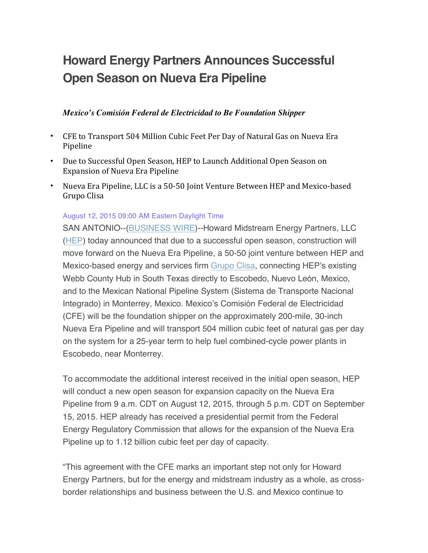# **Howard Energy Partners Announces Successful Open Season on Nueva Era Pipeline**

#### *Mexico's Comisión Federal de Electricidad to Be Foundation Shipper*

- CFE to Transport 504 Million Cubic Feet Per Day of Natural Gas on Nueva Era Pipeline
- Due to Successful Open Season, HEP to Launch Additional Open Season on Expansion of Nueva Era Pipeline
- Nueva Era Pipeline, LLC is a 50-50 Joint Venture Between HEP and Mexico-based Grupo Clisa

#### August 12, 2015 09:00 AM Eastern Daylight Time

SAN ANTONIO--(BUSINESS WIRE)--Howard Midstream Energy Partners, LLC (HEP) today announced that due to a successful open season, construction will move forward on the Nueva Era Pipeline, a 50-50 joint venture between HEP and Mexico-based energy and services firm Grupo Clisa, connecting HEP's existing Webb County Hub in South Texas directly to Escobedo, Nuevo León, Mexico, and to the Mexican National Pipeline System (Sistema de Transporte Nacional Integrado) in Monterrey, Mexico. Mexico's Comisión Federal de Electricidad (CFE) will be the foundation shipper on the approximately 200-mile, 30-inch Nueva Era Pipeline and will transport 504 million cubic feet of natural gas per day on the system for a 25-year term to help fuel combined-cycle power plants in Escobedo, near Monterrey.

To accommodate the additional interest received in the initial open season, HEP will conduct a new open season for expansion capacity on the Nueva Era Pipeline from 9 a.m. CDT on August 12, 2015, through 5 p.m. CDT on September 15, 2015. HEP already has received a presidential permit from the Federal Energy Regulatory Commission that allows for the expansion of the Nueva Era Pipeline up to 1.12 billion cubic feet per day of capacity.

"This agreement with the CFE marks an important step not only for Howard Energy Partners, but for the energy and midstream industry as a whole, as crossborder relationships and business between the U.S. and Mexico continue to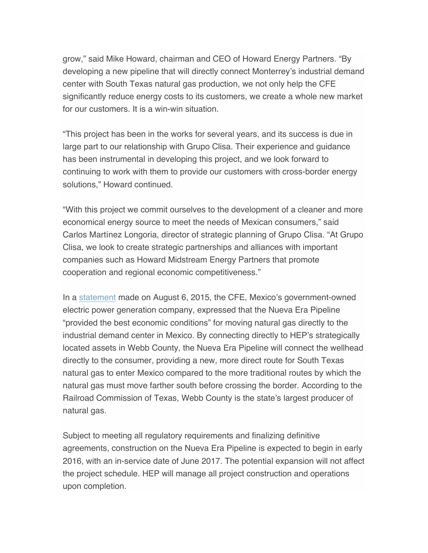grow," said Mike Howard, chairman and CEO of Howard Energy Partners. "By developing a new pipeline that will directly connect Monterrey's industrial demand center with South Texas natural gas production, we not only help the CFE significantly reduce energy costs to its customers, we create a whole new market for our customers. It is a win-win situation.

"This project has been in the works for several years, and its success is due in large part to our relationship with Grupo Clisa. Their experience and guidance has been instrumental in developing this project, and we look forward to continuing to work with them to provide our customers with cross-border energy solutions," Howard continued.

"With this project we commit ourselves to the development of a cleaner and more economical energy source to meet the needs of Mexican consumers," said Carlos Martínez Longoria, director of strategic planning of Grupo Clisa. "At Grupo Clisa, we look to create strategic partnerships and alliances with important companies such as Howard Midstream Energy Partners that promote cooperation and regional economic competitiveness."

In a statement made on August 6, 2015, the CFE, Mexico's government-owned electric power generation company, expressed that the Nueva Era Pipeline "provided the best economic conditions" for moving natural gas directly to the industrial demand center in Mexico. By connecting directly to HEP's strategically located assets in Webb County, the Nueva Era Pipeline will connect the wellhead directly to the consumer, providing a new, more direct route for South Texas natural gas to enter Mexico compared to the more traditional routes by which the natural gas must move farther south before crossing the border. According to the Railroad Commission of Texas, Webb County is the state's largest producer of natural gas.

Subject to meeting all regulatory requirements and finalizing definitive agreements, construction on the Nueva Era Pipeline is expected to begin in early 2016, with an in-service date of June 2017. The potential expansion will not affect the project schedule. HEP will manage all project construction and operations upon completion.